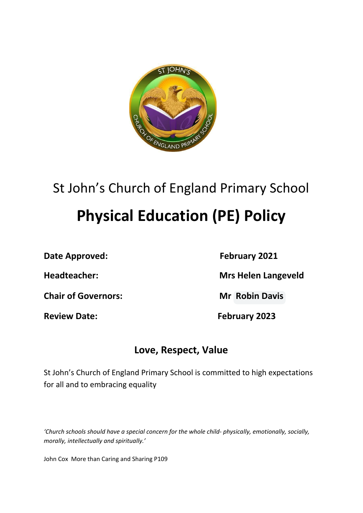

# St John's Church of England Primary School **Physical Education (PE) Policy**

**Date Approved: February 2021**

**Chair of Governors: Mr Robin Davis**

**Headteacher: Mrs Helen Langeveld**

**Review Date: February 2023**

# **Love, Respect, Value**

St John's Church of England Primary School is committed to high expectations for all and to embracing equality

*'Church schools should have a special concern for the whole child- physically, emotionally, socially, morally, intellectually and spiritually.'*

John Cox More than Caring and Sharing P109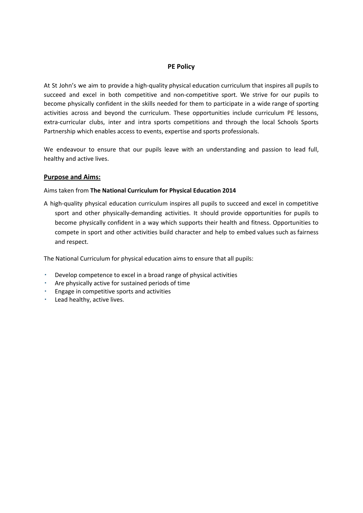#### **PE Policy**

At St John's we aim to provide a high-quality physical education curriculum that inspires all pupils to succeed and excel in both competitive and non-competitive sport. We strive for our pupils to become physically confident in the skills needed for them to participate in a wide range of sporting activities across and beyond the curriculum. These opportunities include curriculum PE lessons, extra-curricular clubs, inter and intra sports competitions and through the local Schools Sports Partnership which enables access to events, expertise and sports professionals.

We endeavour to ensure that our pupils leave with an understanding and passion to lead full, healthy and active lives.

#### **Purpose and Aims:**

#### Aims taken from **The National Curriculum for Physical Education 2014**

A high-quality physical education curriculum inspires all pupils to succeed and excel in competitive sport and other physically-demanding activities. It should provide opportunities for pupils to become physically confident in a way which supports their health and fitness. Opportunities to compete in sport and other activities build character and help to embed values such as fairness and respect.

The National Curriculum for physical education aims to ensure that all pupils:

- Develop competence to excel in a broad range of physical activities
- Are physically active for sustained periods of time
- Engage in competitive sports and activities
- Lead healthy, active lives.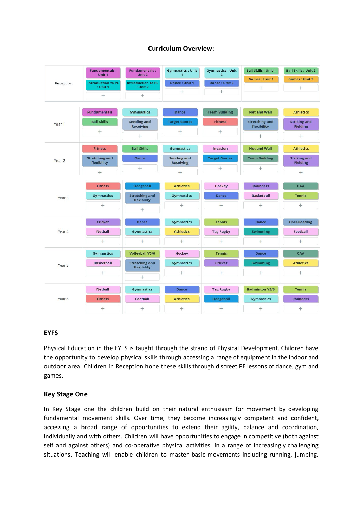

#### **Curriculum Overview:**

#### **EYFS**

Physical Education in the EYFS is taught through the strand of Physical Development. Children have the opportunity to develop physical skills through accessing a range of equipment in the indoor and outdoor area. Children in Reception hone these skills through discreet PE lessons of dance, gym and games.

 $\ddot{}$ 

 $+$ 

 $\ddot{}$ 

 $^{+}$ 

#### **Key Stage One**

 $+$ 

 $^{+}$ 

In Key Stage one the children build on their natural enthusiasm for movement by developing fundamental movement skills. Over time, they become increasingly competent and confident, accessing a broad range of opportunities to extend their agility, balance and coordination, individually and with others. Children will have opportunities to engage in competitive (both against self and against others) and co-operative physical activities, in a range of increasingly challenging situations. Teaching will enable children to master basic movements including running, jumping,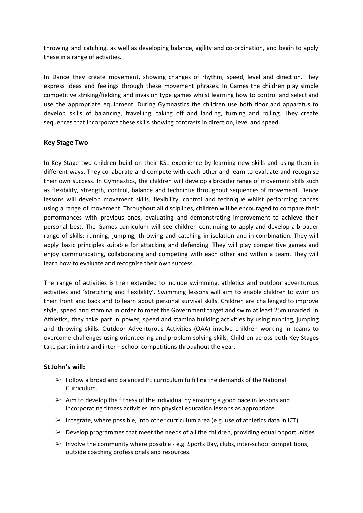throwing and catching, as well as developing balance, agility and co-ordination, and begin to apply these in a range of activities.

In Dance they create movement, showing changes of rhythm, speed, level and direction. They express ideas and feelings through these movement phrases. In Games the children play simple competitive striking/fielding and invasion type games whilst learning how to control and select and use the appropriate equipment. During Gymnastics the children use both floor and apparatus to develop skills of balancing, travelling, taking off and landing, turning and rolling. They create sequences that incorporate these skills showing contrasts in direction, level and speed.

#### **Key Stage Two**

In Key Stage two children build on their KS1 experience by learning new skills and using them in different ways. They collaborate and compete with each other and learn to evaluate and recognise their own success. In Gymnastics, the children will develop a broader range of movement skills such as flexibility, strength, control, balance and technique throughout sequences of movement. Dance lessons will develop movement skills, flexibility, control and technique whilst performing dances using a range of movement. Throughout all disciplines, children will be encouraged to compare their performances with previous ones, evaluating and demonstrating improvement to achieve their personal best. The Games curriculum will see children continuing to apply and develop a broader range of skills: running, jumping, throwing and catching in isolation and in combination. They will apply basic principles suitable for attacking and defending. They will play competitive games and enjoy communicating, collaborating and competing with each other and within a team. They will learn how to evaluate and recognise their own success.

The range of activities is then extended to include swimming, athletics and outdoor adventurous activities and 'stretching and flexibility'. Swimming lessons will aim to enable children to swim on their front and back and to learn about personal survival skills. Children are challenged to improve style, speed and stamina in order to meet the Government target and swim at least 25m unaided. In Athletics, they take part in power, speed and stamina building activities by using running, jumping and throwing skills. Outdoor Adventurous Activities (OAA) involve children working in teams to overcome challenges using orienteering and problem-solving skills. Children across both Key Stages take part in intra and inter – school competitions throughout the year.

#### **St John's will:**

- $\triangleright$  Follow a broad and balanced PE curriculum fulfilling the demands of the National Curriculum.
- $\triangleright$  Aim to develop the fitness of the individual by ensuring a good pace in lessons and incorporating fitness activities into physical education lessons as appropriate.
- $\triangleright$  Integrate, where possible, into other curriculum area (e.g. use of athletics data in ICT).
- $\triangleright$  Develop programmes that meet the needs of all the children, providing equal opportunities.
- $\triangleright$  Involve the community where possible e.g. Sports Day, clubs, inter-school competitions, outside coaching professionals and resources.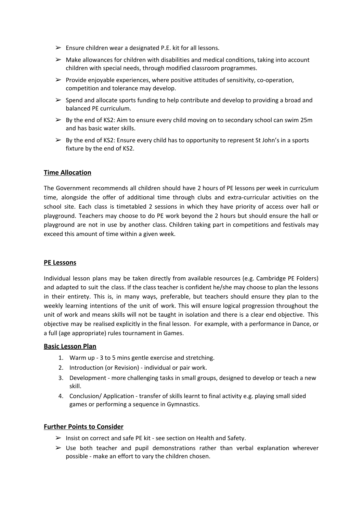- $\triangleright$  Ensure children wear a designated P.E. kit for all lessons.
- $\triangleright$  Make allowances for children with disabilities and medical conditions, taking into account children with special needs, through modified classroom programmes.
- $\triangleright$  Provide enjoyable experiences, where positive attitudes of sensitivity, co-operation, competition and tolerance may develop.
- $\triangleright$  Spend and allocate sports funding to help contribute and develop to providing a broad and balanced PE curriculum.
- $\triangleright$  By the end of KS2: Aim to ensure every child moving on to secondary school can swim 25m and has basic water skills.
- $\triangleright$  By the end of KS2: Ensure every child has to opportunity to represent St John's in a sports fixture by the end of KS2.

#### **Time Allocation**

The Government recommends all children should have 2 hours of PE lessons per week in curriculum time, alongside the offer of additional time through clubs and extra-curricular activities on the school site. Each class is timetabled 2 sessions in which they have priority of access over hall or playground. Teachers may choose to do PE work beyond the 2 hours but should ensure the hall or playground are not in use by another class. Children taking part in competitions and festivals may exceed this amount of time within a given week.

#### **PE Lessons**

Individual lesson plans may be taken directly from available resources (e.g. Cambridge PE Folders) and adapted to suit the class. If the class teacher is confident he/she may choose to plan the lessons in their entirety. This is, in many ways, preferable, but teachers should ensure they plan to the weekly learning intentions of the unit of work. This will ensure logical progression throughout the unit of work and means skills will not be taught in isolation and there is a clear end objective. This objective may be realised explicitly in the final lesson. For example, with a performance in Dance, or a full (age appropriate) rules tournament in Games.

#### **Basic Lesson Plan**

- 1. Warm up 3 to 5 mins gentle exercise and stretching.
- 2. Introduction (or Revision) individual or pair work.
- 3. Development more challenging tasks in small groups, designed to develop or teach a new skill.
- 4. Conclusion/ Application transfer of skills learnt to final activity e.g. playing small sided games or performing a sequence in Gymnastics.

#### **Further Points to Consider**

- $\triangleright$  Insist on correct and safe PE kit see section on Health and Safety.
- $\triangleright$  Use both teacher and pupil demonstrations rather than verbal explanation wherever possible - make an effort to vary the children chosen.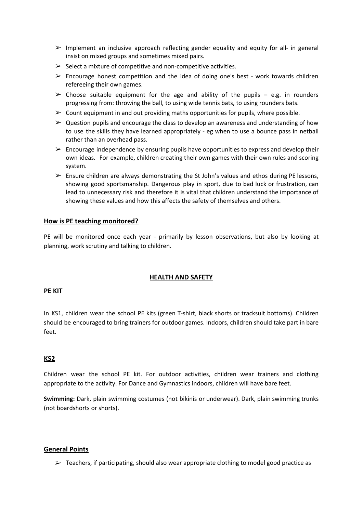- $\triangleright$  Implement an inclusive approach reflecting gender equality and equity for all- in general insist on mixed groups and sometimes mixed pairs.
- $\triangleright$  Select a mixture of competitive and non-competitive activities.
- $\triangleright$  Encourage honest competition and the idea of doing one's best work towards children refereeing their own games.
- $\triangleright$  Choose suitable equipment for the age and ability of the pupils e.g. in rounders progressing from: throwing the ball, to using wide tennis bats, to using rounders bats.
- $\triangleright$  Count equipment in and out providing maths opportunities for pupils, where possible.
- $\triangleright$  Question pupils and encourage the class to develop an awareness and understanding of how to use the skills they have learned appropriately - eg when to use a bounce pass in netball rather than an overhead pass.
- $\triangleright$  Encourage independence by ensuring pupils have opportunities to express and develop their own ideas. For example, children creating their own games with their own rules and scoring system.
- $\triangleright$  Ensure children are always demonstrating the St John's values and ethos during PE lessons, showing good sportsmanship. Dangerous play in sport, due to bad luck or frustration, can lead to unnecessary risk and therefore it is vital that children understand the importance of showing these values and how this affects the safety of themselves and others.

#### **How is PE teaching monitored?**

PE will be monitored once each year - primarily by lesson observations, but also by looking at planning, work scrutiny and talking to children.

#### **HEALTH AND SAFETY**

#### **PE KIT**

In KS1, children wear the school PE kits (green T-shirt, black shorts or tracksuit bottoms). Children should be encouraged to bring trainers for outdoor games. Indoors, children should take part in bare feet.

#### **KS2**

Children wear the school PE kit. For outdoor activities, children wear trainers and clothing appropriate to the activity. For Dance and Gymnastics indoors, children will have bare feet.

**Swimming:** Dark, plain swimming costumes (not bikinis or underwear). Dark, plain swimming trunks (not boardshorts or shorts).

#### **General Points**

 $\triangleright$  Teachers, if participating, should also wear appropriate clothing to model good practice as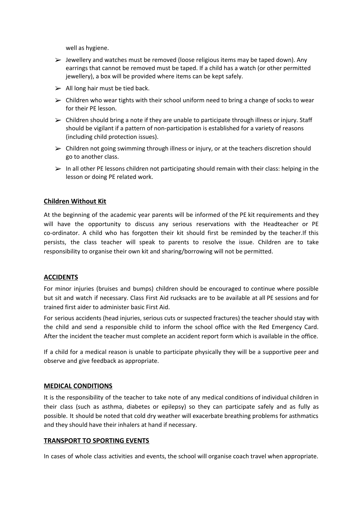well as hygiene.

- $\triangleright$  Jewellery and watches must be removed (loose religious items may be taped down). Any earrings that cannot be removed must be taped. If a child has a watch (or other permitted jewellery), a box will be provided where items can be kept safely.
- $\triangleright$  All long hair must be tied back.
- $\triangleright$  Children who wear tights with their school uniform need to bring a change of socks to wear for their PE lesson.
- $\triangleright$  Children should bring a note if they are unable to participate through illness or injury. Staff should be vigilant if a pattern of non-participation is established for a variety of reasons (including child protection issues).
- $\triangleright$  Children not going swimming through illness or injury, or at the teachers discretion should go to another class.
- $\triangleright$  In all other PE lessons children not participating should remain with their class: helping in the lesson or doing PE related work.

#### **Children Without Kit**

At the beginning of the academic year parents will be informed of the PE kit requirements and they will have the opportunity to discuss any serious reservations with the Headteacher or PE co-ordinator. A child who has forgotten their kit should first be reminded by the teacher.If this persists, the class teacher will speak to parents to resolve the issue. Children are to take responsibility to organise their own kit and sharing/borrowing will not be permitted.

#### **ACCIDENTS**

For minor injuries (bruises and bumps) children should be encouraged to continue where possible but sit and watch if necessary. Class First Aid rucksacks are to be available at all PE sessions and for trained first aider to administer basic First Aid.

For serious accidents (head injuries, serious cuts or suspected fractures) the teacher should stay with the child and send a responsible child to inform the school office with the Red Emergency Card. After the incident the teacher must complete an accident report form which is available in the office.

If a child for a medical reason is unable to participate physically they will be a supportive peer and observe and give feedback as appropriate.

#### **MEDICAL CONDITIONS**

It is the responsibility of the teacher to take note of any medical conditions of individual children in their class (such as asthma, diabetes or epilepsy) so they can participate safely and as fully as possible. It should be noted that cold dry weather will exacerbate breathing problems for asthmatics and they should have their inhalers at hand if necessary.

#### **TRANSPORT TO SPORTING EVENTS**

In cases of whole class activities and events, the school will organise coach travel when appropriate.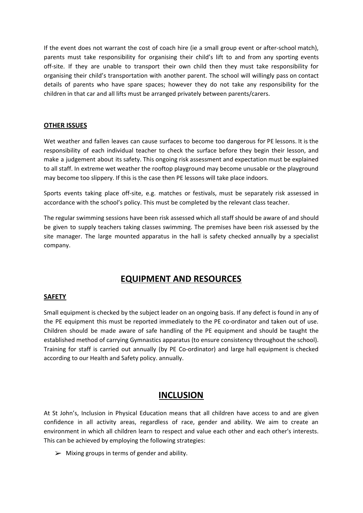If the event does not warrant the cost of coach hire (ie a small group event or after-school match), parents must take responsibility for organising their child's lift to and from any sporting events off-site. If they are unable to transport their own child then they must take responsibility for organising their child's transportation with another parent. The school will willingly pass on contact details of parents who have spare spaces; however they do not take any responsibility for the children in that car and all lifts must be arranged privately between parents/carers.

#### **OTHER ISSUES**

Wet weather and fallen leaves can cause surfaces to become too dangerous for PE lessons. It is the responsibility of each individual teacher to check the surface before they begin their lesson, and make a judgement about its safety. This ongoing risk assessment and expectation must be explained to all staff. In extreme wet weather the rooftop playground may become unusable or the playground may become too slippery. If this is the case then PE lessons will take place indoors.

Sports events taking place off-site, e.g. matches or festivals, must be separately risk assessed in accordance with the school's policy. This must be completed by the relevant class teacher.

The regular swimming sessions have been risk assessed which all staff should be aware of and should be given to supply teachers taking classes swimming. The premises have been risk assessed by the site manager. The large mounted apparatus in the hall is safety checked annually by a specialist company.

### **EQUIPMENT AND RESOURCES**

#### **SAFETY**

Small equipment is checked by the subject leader on an ongoing basis. If any defect is found in any of the PE equipment this must be reported immediately to the PE co-ordinator and taken out of use. Children should be made aware of safe handling of the PE equipment and should be taught the established method of carrying Gymnastics apparatus (to ensure consistency throughout the school). Training for staff is carried out annually (by PE Co-ordinator) and large hall equipment is checked according to our Health and Safety policy. annually.

#### **INCLUSION**

At St John's, Inclusion in Physical Education means that all children have access to and are given confidence in all activity areas, regardless of race, gender and ability. We aim to create an environment in which all children learn to respect and value each other and each other's interests. This can be achieved by employing the following strategies:

 $\triangleright$  Mixing groups in terms of gender and ability.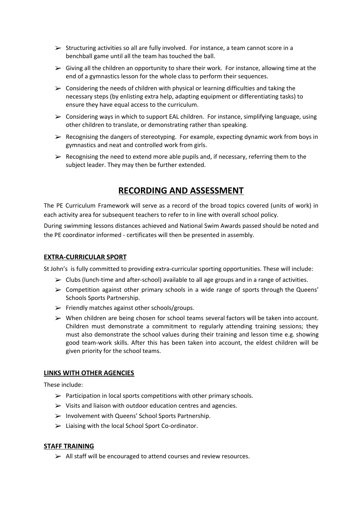- $\triangleright$  Structuring activities so all are fully involved. For instance, a team cannot score in a benchball game until all the team has touched the ball.
- $\triangleright$  Giving all the children an opportunity to share their work. For instance, allowing time at the end of a gymnastics lesson for the whole class to perform their sequences.
- $\triangleright$  Considering the needs of children with physical or learning difficulties and taking the necessary steps (by enlisting extra help, adapting equipment or differentiating tasks) to ensure they have equal access to the curriculum.
- $\triangleright$  Considering ways in which to support EAL children. For instance, simplifying language, using other children to translate, or demonstrating rather than speaking.
- $\triangleright$  Recognising the dangers of stereotyping. For example, expecting dynamic work from boys in gymnastics and neat and controlled work from girls.
- $\triangleright$  Recognising the need to extend more able pupils and, if necessary, referring them to the subject leader. They may then be further extended.

## **RECORDING AND ASSESSMENT**

The PE Curriculum Framework will serve as a record of the broad topics covered (units of work) in each activity area for subsequent teachers to refer to in line with overall school policy.

During swimming lessons distances achieved and National Swim Awards passed should be noted and the PE coordinator informed - certificates will then be presented in assembly.

#### **EXTRA-CURRICULAR SPORT**

St John's is fully committed to providing extra-curricular sporting opportunities. These will include:

- $\triangleright$  Clubs (lunch-time and after-school) available to all age groups and in a range of activities.
- ➢ Competition against other primary schools in a wide range of sports through the Queens' Schools Sports Partnership.
- $\triangleright$  Friendly matches against other schools/groups.
- ➢ When children are being chosen for school teams several factors will be taken into account. Children must demonstrate a commitment to regularly attending training sessions; they must also demonstrate the school values during their training and lesson time e.g. showing good team-work skills. After this has been taken into account, the eldest children will be given priority for the school teams.

#### **LINKS WITH OTHER AGENCIES**

These include:

- $\triangleright$  Participation in local sports competitions with other primary schools.
- $\triangleright$  Visits and liaison with outdoor education centres and agencies.
- ➢ Involvement with Queens' School Sports Partnership.
- ➢ Liaising with the local School Sport Co-ordinator.

#### **STAFF TRAINING**

➢ All staff will be encouraged to attend courses and review resources.